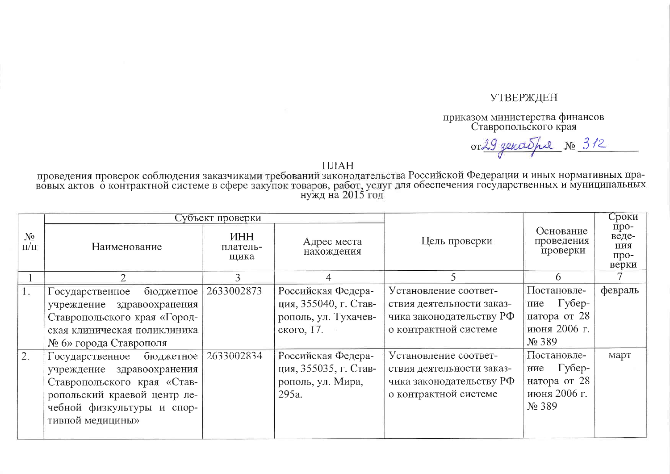## **УТВЕРЖДЕН**

приказом министерства финансов<br>Ставропольского края

or 29 genashe No 312

ПЛАН<br>проведения проверок соблюдения заказчиками требований законодательства Российской Федерации и иных нормативных пра-<br>нужд на 2015 год

|                    | Субъект проверки             |                                |                           |                           |                                     | Сроки                                 |
|--------------------|------------------------------|--------------------------------|---------------------------|---------------------------|-------------------------------------|---------------------------------------|
| $N_2$<br>$\Pi/\Pi$ | Наименование                 | <b>IHH</b><br>платель-<br>щика | Адрес места<br>нахождения | Цель проверки             | Основание<br>проведения<br>проверки | про-<br>веде-<br>ния<br>про-<br>верки |
|                    | $\overline{2}$               | 3                              | 4                         | 5.                        | 6                                   |                                       |
| 1.                 | бюджетное<br>Государственное | 2633002873                     | Российская Федера-        | Установление соответ-     | Постановле-                         | февраль                               |
|                    | учреждение здравоохранения   |                                | ция, 355040, г. Став-     | ствия деятельности заказ- | $\Gamma$ yбер-<br>ние               |                                       |
|                    | Ставропольского края «Город- |                                | рополь, ул. Тухачев-      | чика законодательству РФ  | натора от 28                        |                                       |
|                    | ская клиническая поликлиника |                                | ского, 17.                | о контрактной системе     | июня 2006 г.                        |                                       |
|                    | № 6» города Ставрополя       |                                |                           |                           | $N2$ 389                            |                                       |
| 2.                 | бюджетное<br>Государственное | 2633002834                     | Российская Федера-        | Установление соответ-     | Постановле-                         | март                                  |
|                    | учреждение здравоохранения   |                                | ция, 355035, г. Став-     | ствия деятельности заказ- | Губер-<br>ние                       |                                       |
|                    | Ставропольского края «Став-  |                                | рополь, ул. Мира,         | чика законодательству РФ  | натора от 28                        |                                       |
|                    | ропольский краевой центр ле- |                                | 295a.                     | о контрактной системе     | июня 2006 г.                        |                                       |
|                    | чебной физкультуры и спор-   |                                |                           |                           | No 389                              |                                       |
|                    | тивной медицины»             |                                |                           |                           |                                     |                                       |
|                    |                              |                                |                           |                           |                                     |                                       |